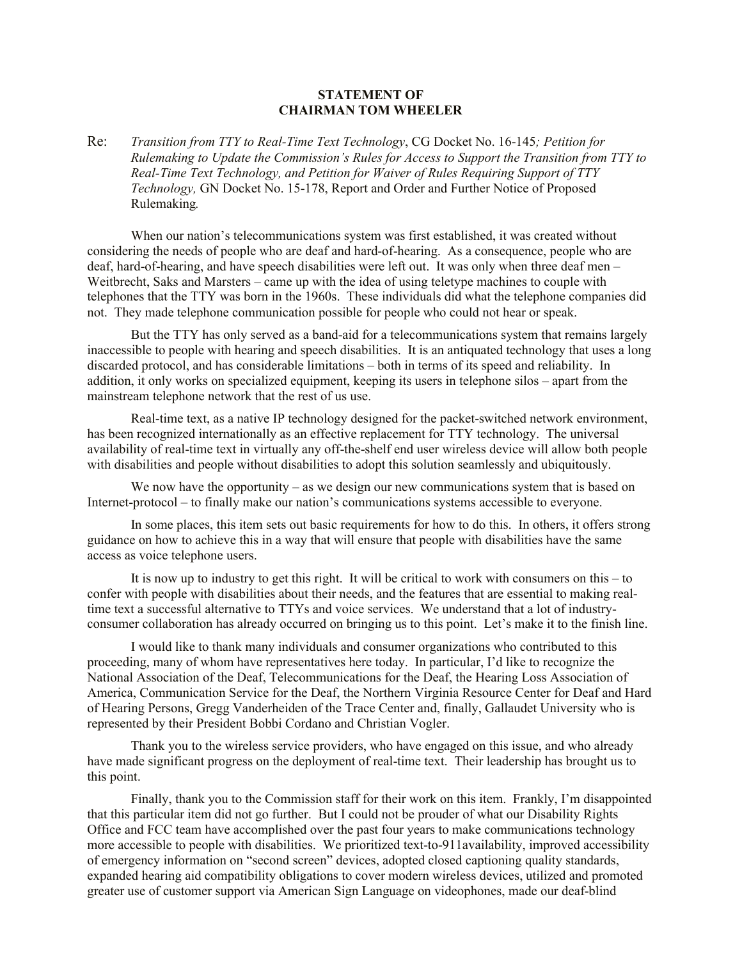## **STATEMENT OF CHAIRMAN TOM WHEELER**

Re: *Transition from TTY to Real-Time Text Technology*, CG Docket No. 16-145*; Petition for Rulemaking to Update the Commission's Rules for Access to Support the Transition from TTY to Real-Time Text Technology, and Petition for Waiver of Rules Requiring Support of TTY Technology,* GN Docket No. 15-178, Report and Order and Further Notice of Proposed Rulemaking*.*

When our nation's telecommunications system was first established, it was created without considering the needs of people who are deaf and hard-of-hearing. As a consequence, people who are deaf, hard-of-hearing, and have speech disabilities were left out. It was only when three deaf men – Weitbrecht, Saks and Marsters – came up with the idea of using teletype machines to couple with telephones that the TTY was born in the 1960s. These individuals did what the telephone companies did not. They made telephone communication possible for people who could not hear or speak.

But the TTY has only served as a band-aid for a telecommunications system that remains largely inaccessible to people with hearing and speech disabilities. It is an antiquated technology that uses a long discarded protocol, and has considerable limitations – both in terms of its speed and reliability. In addition, it only works on specialized equipment, keeping its users in telephone silos – apart from the mainstream telephone network that the rest of us use.

Real-time text, as a native IP technology designed for the packet-switched network environment, has been recognized internationally as an effective replacement for TTY technology. The universal availability of real-time text in virtually any off-the-shelf end user wireless device will allow both people with disabilities and people without disabilities to adopt this solution seamlessly and ubiquitously.

We now have the opportunity – as we design our new communications system that is based on Internet-protocol – to finally make our nation's communications systems accessible to everyone.

In some places, this item sets out basic requirements for how to do this. In others, it offers strong guidance on how to achieve this in a way that will ensure that people with disabilities have the same access as voice telephone users.

It is now up to industry to get this right. It will be critical to work with consumers on this – to confer with people with disabilities about their needs, and the features that are essential to making realtime text a successful alternative to TTYs and voice services. We understand that a lot of industryconsumer collaboration has already occurred on bringing us to this point. Let's make it to the finish line.

I would like to thank many individuals and consumer organizations who contributed to this proceeding, many of whom have representatives here today. In particular, I'd like to recognize the National Association of the Deaf, Telecommunications for the Deaf, the Hearing Loss Association of America, Communication Service for the Deaf, the Northern Virginia Resource Center for Deaf and Hard of Hearing Persons, Gregg Vanderheiden of the Trace Center and, finally, Gallaudet University who is represented by their President Bobbi Cordano and Christian Vogler.

Thank you to the wireless service providers, who have engaged on this issue, and who already have made significant progress on the deployment of real-time text. Their leadership has brought us to this point.

Finally, thank you to the Commission staff for their work on this item. Frankly, I'm disappointed that this particular item did not go further. But I could not be prouder of what our Disability Rights Office and FCC team have accomplished over the past four years to make communications technology more accessible to people with disabilities. We prioritized text-to-911availability, improved accessibility of emergency information on "second screen" devices, adopted closed captioning quality standards, expanded hearing aid compatibility obligations to cover modern wireless devices, utilized and promoted greater use of customer support via American Sign Language on videophones, made our deaf-blind